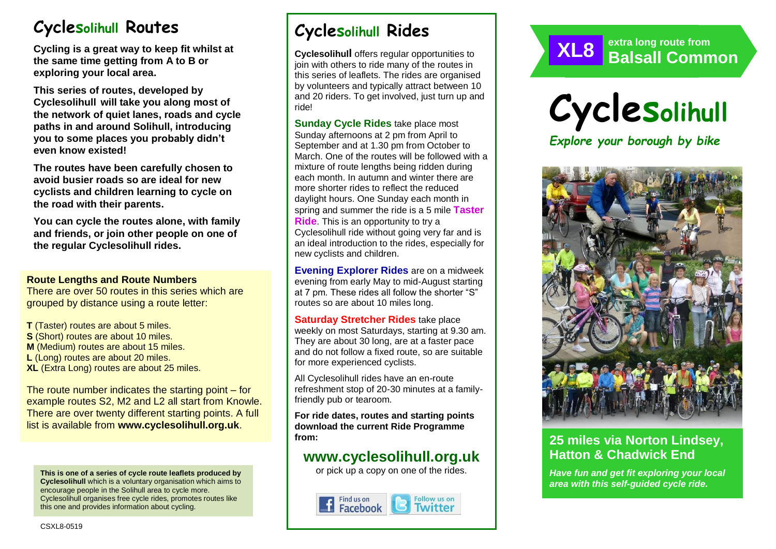# **Cyclesolihull Routes**

**Cycling is a great way to keep fit whilst at the same time getting from A to B or exploring your local area.** 

**This series of routes, developed by Cyclesolihull will take you along most of the network of quiet lanes, roads and cycle paths in and around Solihull, introducing you to some places you probably didn't even know existed!**

**The routes have been carefully chosen to avoid busier roads so are ideal for new cyclists and children learning to cycle on the road with their parents.** 

**You can cycle the routes alone, with family and friends, or join other people on one of the regular Cyclesolihull rides.**

#### **Route Lengths and Route Numbers**

There are over 50 routes in this series which are grouped by distance using a route letter:

**T** (Taster) routes are about 5 miles. **S** (Short) routes are about 10 miles. **M** (Medium) routes are about 15 miles. **L** (Long) routes are about 20 miles. **XL** (Extra Long) routes are about 25 miles.

The route number indicates the starting point – for example routes S2, M2 and L2 all start from Knowle. There are over twenty different starting points. A full list is available from **www.cyclesolihull.org.uk**.

**This is one of a series of cycle route leaflets produced by Cyclesolihull** which is a voluntary organisation which aims to encourage people in the Solihull area to cycle more. Cyclesolihull organises free cycle rides, promotes routes like this one and provides information about cycling.

# **Cyclesolihull Rides**

**Cyclesolihull** offers regular opportunities to join with others to ride many of the routes in this series of leaflets. The rides are organised by volunteers and typically attract between 10 and 20 riders. To get involved, just turn up and ride!

**Sunday Cycle Rides** take place most Sunday afternoons at 2 pm from April to September and at 1.30 pm from October to March. One of the routes will be followed with a mixture of route lengths being ridden during each month. In autumn and winter there are more shorter rides to reflect the reduced daylight hours. One Sunday each month in spring and summer the ride is a 5 mile **Taster Ride**. This is an opportunity to try a Cyclesolihull ride without going very far and is an ideal introduction to the rides, especially for new cyclists and children.

**Evening Explorer Rides** are on a midweek evening from early May to mid-August starting at 7 pm. These rides all follow the shorter "S" routes so are about 10 miles long.

**Saturday Stretcher Rides** take place weekly on most Saturdays, starting at 9.30 am. They are about 30 long, are at a faster pace and do not follow a fixed route, so are suitable for more experienced cyclists.

All Cyclesolihull rides have an en-route refreshment stop of 20-30 minutes at a familyfriendly pub or tearoom.

**For ride dates, routes and starting points download the current Ride Programme from:** 

## **www.cyclesolihull.org.uk**

or pick up a copy on one of the rides.







*PLUS opportunities to ride the route with others!*

## **25 miles via Norton Lindsey, Hatton & Chadwick End**

*Have fun and get fit exploring your local area with this self-guided cycle ride.*